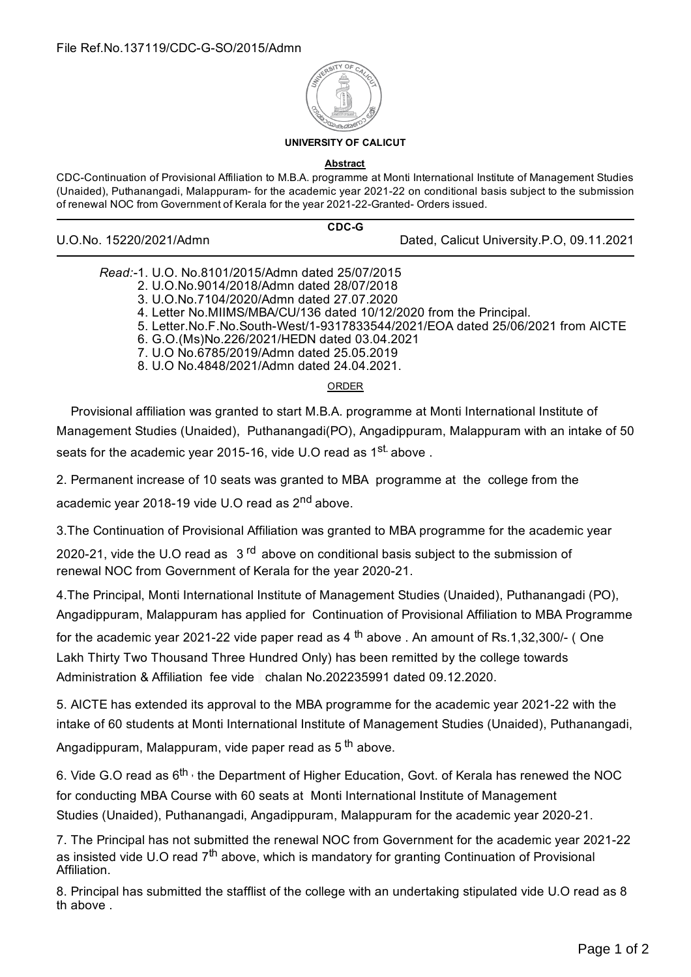

## **UNIVERSITY OF CALICUT**

**Abstract**

CDC-Continuation of Provisional Affiliation to M.B.A. programme at Monti International Institute of Management Studies (Unaided), Puthanangadi, Malappuram- for the academic year 2021-22 on conditional basis subject to the submission of renewal NOC from Government of Kerala for the year 2021-22-Granted- Orders issued.

**CDC-G**

U.O.No. 15220/2021/Admn Dated, Calicut University.P.O, 09.11.2021

| Read:-1. U.O. No.8101/2015/Admn dated 25/07/2015 |  |
|--------------------------------------------------|--|
|                                                  |  |

- 2. U.O.No.9014/2018/Admn dated 28/07/2018
- 3. U.O.No.7104/2020/Admn dated 27.07.2020
- 4. Letter No.MIIMS/MBA/CU/136 dated 10/12/2020 from the Principal.
- 5. Letter.No.F.No.South-West/1-9317833544/2021/EOA dated 25/06/2021 from AICTE
- 6. G.O.(Ms)No.226/2021/HEDN dated 03.04.2021
- 7. U.O No.6785/2019/Admn dated 25.05.2019
- 8. U.O No.4848/2021/Admn dated 24.04.2021.

ORDER

Provisional affiliation was granted to start M.B.A. programme at Monti International Institute of Management Studies (Unaided), Puthanangadi(PO), Angadippuram, Malappuram with an intake of 50 seats for the academic year 2015-16, vide U.O read as 1<sup>st.</sup> above .

2. Permanent increase of 10 seats was granted to MBA programme at the college from the academic year 2018-19 vide U.O read as 2<sup>nd</sup> above.

3.The Continuation of Provisional Affiliation was granted to MBA programme for the academic year

2020-21, vide the U.O read as 3<sup>rd</sup> above on conditional basis subject to the submission of renewal NOC from Government of Kerala for the year 2020-21.

4.The Principal, Monti International Institute of Management Studies (Unaided), Puthanangadi (PO), Angadippuram, Malappuram has applied for Continuation of Provisional Affiliation to MBA Programme

for the academic year 2021-22 vide paper read as 4 <sup>th</sup> above . An amount of Rs.1,32,300/- ( One Lakh Thirty Two Thousand Three Hundred Only) has been remitted by the college towards Administration & Affiliation fee vide chalan No.202235991 dated 09.12.2020.

5. AICTE has extended its approval to the MBA programme for the academic year 2021-22 with the intake of 60 students at Monti International Institute of Management Studies (Unaided), Puthanangadi,

Angadippuram, Malappuram, vide paper read as 5 <sup>th</sup> above.

6. Vide G.O read as 6<sup>th,</sup>the Department of Higher Education, Govt. of Kerala has renewed the NOC for conducting MBA Course with 60 seats at Monti International Institute of Management Studies (Unaided), Puthanangadi, Angadippuram, Malappuram for the academic year 2020-21.

7. The Principal has not submitted the renewal NOC from Government for the academic year 2021-22 as insisted vide U.O read 7<sup>th</sup> above, which is mandatory for granting Continuation of Provisional Affiliation.

8. Principal has submitted the stafflist of the college with an undertaking stipulated vide U.O read as 8 th above .